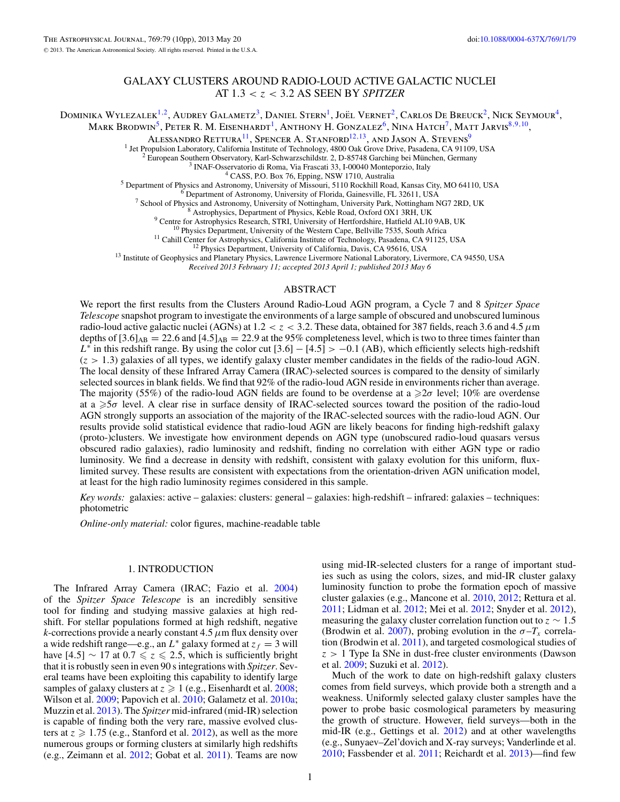# GALAXY CLUSTERS AROUND RADIO-LOUD ACTIVE GALACTIC NUCLEI AT 1*.*3 *<z<* 3*.*2 AS SEEN BY *SPITZER*

Dominika Wylezalek<sup>1,2</sup>, Audrey Galametz<sup>3</sup>, Daniel Stern<sup>1</sup>, Joël Vernet<sup>2</sup>, Carlos De Breuck<sup>2</sup>, Nick Seymour<sup>4</sup>, Mark Brodwin<sup>5</sup>, Peter R. M. Eisenhardt<sup>1</sup>, Anthony H. Gonzalez<sup>6</sup>, Nina Hatch<sup>7</sup>, Matt Jarvis<sup>8,9,10</sup>,

ALESSANDRO RETTURA<sup>11</sup>, SPENCER A. STANFORD<sup>12,13</sup>, AND JASON A. STEVENS<sup>9</sup><sup>1</sup> Jet Propulsion Laboratory, California Institute of Technology, 4800 Oak Grove Drive, Pasadena, CA 91109, USA <sup>1</sup> Jet Propulsion Laboratory, California Institute of Technology, 4800 Oak Grove Drive, Pasadena, CA 91109, USA<br>
<sup>2</sup> European Southern Observatory, Karl-Schwarzschildstr. 2, D-85748 Garching bei München, Germany<br>
<sup>3</sup> INA

<sup>13</sup> Institute of Geophysics and Planetary Physics, Lawrence Livermore National Laboratory, Livermore, CA 94550, USA<br>*Received 2013 February 11; accepted 2013 April 1; published 2013 May 6* 

## ABSTRACT

We report the first results from the Clusters Around Radio-Loud AGN program, a Cycle 7 and 8 *Spitzer Space Telescope* snapshot program to investigate the environments of a large sample of obscured and unobscured luminous radio-loud active galactic nuclei (AGNs) at  $1.2 < z < 3.2$ . These data, obtained for 387 fields, reach 3.6 and 4.5  $\mu$ m depths of  $[3.6]_{AB} = 22.6$  and  $[4.5]_{AB} = 22.9$  at the 95% completeness level, which is two to three times fainter than  $L^*$  in this redshift range. By using the color cut  $[3.6]$  –  $[4.5]$  > −0.1 (AB), which efficiently selects high-redshift  $(z > 1.3)$  galaxies of all types, we identify galaxy cluster member candidates in the fields of the radio-loud AGN. The local density of these Infrared Array Camera (IRAC)-selected sources is compared to the density of similarly selected sources in blank fields. We find that 92% of the radio-loud AGN reside in environments richer than average. The majority (55%) of the radio-loud AGN fields are found to be overdense at a ≥2σ level; 10% are overdense at a ≥5*σ* level. A clear rise in surface density of IRAC-selected sources toward the position of the radio-loud AGN strongly supports an association of the majority of the IRAC-selected sources with the radio-loud AGN. Our results provide solid statistical evidence that radio-loud AGN are likely beacons for finding high-redshift galaxy (proto-)clusters. We investigate how environment depends on AGN type (unobscured radio-loud quasars versus obscured radio galaxies), radio luminosity and redshift, finding no correlation with either AGN type or radio luminosity. We find a decrease in density with redshift, consistent with galaxy evolution for this uniform, fluxlimited survey. These results are consistent with expectations from the orientation-driven AGN unification model, at least for the high radio luminosity regimes considered in this sample.

*Key words:* galaxies: active – galaxies: clusters: general – galaxies: high-redshift – infrared: galaxies – techniques: photometric

*Online-only material:* color figures, machine-readable table

## 1. INTRODUCTION

The Infrared Array Camera (IRAC; Fazio et al. [2004\)](#page-9-0) of the *Spitzer Space Telescope* is an incredibly sensitive tool for finding and studying massive galaxies at high redshift. For stellar populations formed at high redshift, negative *k*-corrections provide a nearly constant 4*.*5*μ*m flux density over a wide redshift range—e.g., an  $L^*$  galaxy formed at  $z_f = 3$  will have  $[4.5] \sim 17$  at  $0.7 \le z \le 2.5$ , which is sufficiently bright that it is robustly seen in even 90 s integrations with *Spitzer*. Several teams have been exploiting this capability to identify large samples of galaxy clusters at  $z \geq 1$  (e.g., Eisenhardt et al. [2008;](#page-9-0) Wilson et al. [2009;](#page-9-0) Papovich et al. [2010;](#page-9-0) Galametz et al. [2010a;](#page-9-0) Muzzin et al. [2013\)](#page-9-0). The *Spitzer* mid-infrared (mid-IR) selection is capable of finding both the very rare, massive evolved clusters at  $z \geqslant 1.75$  (e.g., Stanford et al. [2012\)](#page-9-0), as well as the more numerous groups or forming clusters at similarly high redshifts (e.g., Zeimann et al. [2012;](#page-9-0) Gobat et al. [2011\)](#page-9-0). Teams are now

using mid-IR-selected clusters for a range of important studies such as using the colors, sizes, and mid-IR cluster galaxy luminosity function to probe the formation epoch of massive cluster galaxies (e.g., Mancone et al. [2010,](#page-9-0) [2012;](#page-9-0) Rettura et al. [2011;](#page-9-0) Lidman et al. [2012;](#page-9-0) Mei et al. [2012;](#page-9-0) Snyder et al. [2012\)](#page-9-0), measuring the galaxy cluster correlation function out to  $z \sim 1.5$ (Brodwin et al. [2007\)](#page-9-0), probing evolution in the  $\sigma - T_x$  correlation (Brodwin et al. [2011\)](#page-9-0), and targeted cosmological studies of *z >* 1 Type Ia SNe in dust-free cluster environments (Dawson et al. [2009;](#page-9-0) Suzuki et al. [2012\)](#page-9-0).

Much of the work to date on high-redshift galaxy clusters comes from field surveys, which provide both a strength and a weakness. Uniformly selected galaxy cluster samples have the power to probe basic cosmological parameters by measuring the growth of structure. However, field surveys—both in the mid-IR (e.g., Gettings et al. [2012\)](#page-9-0) and at other wavelengths (e.g., Sunyaev–Zel'dovich and X-ray surveys; Vanderlinde et al. [2010;](#page-9-0) Fassbender et al. [2011;](#page-9-0) Reichardt et al. [2013\)](#page-9-0)—find few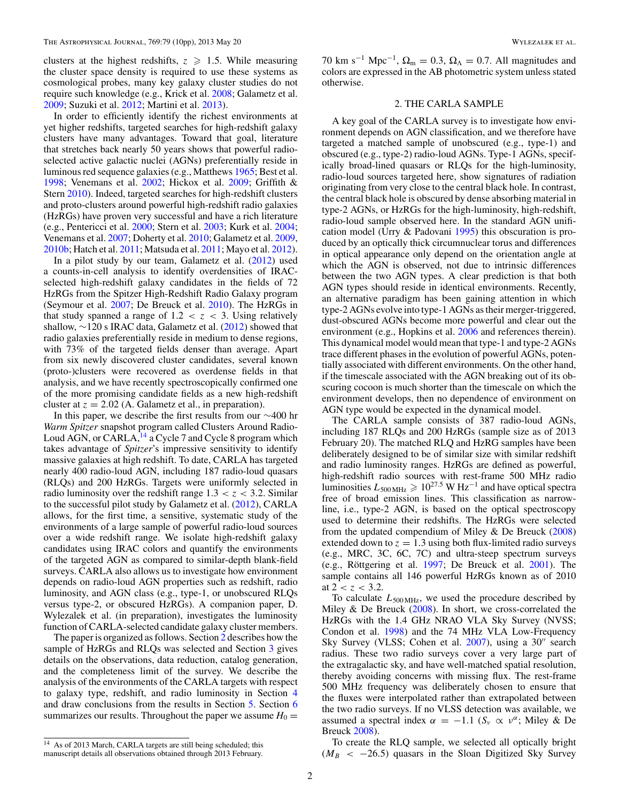clusters at the highest redshifts,  $z \ge 1.5$ . While measuring the cluster space density is required to use these systems as cosmological probes, many key galaxy cluster studies do not require such knowledge (e.g., Krick et al. [2008;](#page-9-0) Galametz et al. [2009;](#page-9-0) Suzuki et al. [2012;](#page-9-0) Martini et al. [2013\)](#page-9-0).

In order to efficiently identify the richest environments at yet higher redshifts, targeted searches for high-redshift galaxy clusters have many advantages. Toward that goal, literature that stretches back nearly 50 years shows that powerful radioselected active galactic nuclei (AGNs) preferentially reside in luminous red sequence galaxies (e.g., Matthews [1965;](#page-9-0) Best et al. [1998;](#page-9-0) Venemans et al. [2002;](#page-9-0) Hickox et al. [2009;](#page-9-0) Griffith & Stern [2010\)](#page-9-0). Indeed, targeted searches for high-redshift clusters and proto-clusters around powerful high-redshift radio galaxies (HzRGs) have proven very successful and have a rich literature (e.g., Pentericci et al. [2000;](#page-9-0) Stern et al. [2003;](#page-9-0) Kurk et al. [2004;](#page-9-0) Venemans et al. [2007;](#page-9-0) Doherty et al. [2010;](#page-9-0) Galametz et al. [2009,](#page-9-0) [2010b;](#page-9-0) Hatch et al. [2011;](#page-9-0) Matsuda et al. [2011;](#page-9-0) Mayo et al. [2012\)](#page-9-0).

In a pilot study by our team, Galametz et al. [\(2012\)](#page-9-0) used a counts-in-cell analysis to identify overdensities of IRACselected high-redshift galaxy candidates in the fields of 72 HzRGs from the Spitzer High-Redshift Radio Galaxy program (Seymour et al. [2007;](#page-9-0) De Breuck et al. [2010\)](#page-9-0). The HzRGs in that study spanned a range of  $1.2 < z < 3$ . Using relatively shallow,  $\sim$ 120 s IRAC data, Galametz et al. [\(2012\)](#page-9-0) showed that radio galaxies preferentially reside in medium to dense regions, with 73% of the targeted fields denser than average. Apart from six newly discovered cluster candidates, several known (proto-)clusters were recovered as overdense fields in that analysis, and we have recently spectroscopically confirmed one of the more promising candidate fields as a new high-redshift cluster at  $z = 2.02$  (A. Galametz et al., in preparation).

In this paper, we describe the first results from our ∼400 hr *Warm Spitzer* snapshot program called Clusters Around Radio-Loud AGN, or CARLA, <sup>14</sup> a Cycle 7 and Cycle 8 program which takes advantage of *Spitzer*'s impressive sensitivity to identify massive galaxies at high redshift. To date, CARLA has targeted nearly 400 radio-loud AGN, including 187 radio-loud quasars (RLQs) and 200 HzRGs. Targets were uniformly selected in radio luminosity over the redshift range  $1.3 < z < 3.2$ . Similar to the successful pilot study by Galametz et al. [\(2012\)](#page-9-0), CARLA allows, for the first time, a sensitive, systematic study of the environments of a large sample of powerful radio-loud sources over a wide redshift range. We isolate high-redshift galaxy candidates using IRAC colors and quantify the environments of the targeted AGN as compared to similar-depth blank-field surveys. CARLA also allows us to investigate how environment depends on radio-loud AGN properties such as redshift, radio luminosity, and AGN class (e.g., type-1, or unobscured RLQs versus type-2, or obscured HzRGs). A companion paper, D. Wylezalek et al. (in preparation), investigates the luminosity function of CARLA-selected candidate galaxy cluster members.

The paper is organized as follows. Section 2 describes how the sample of HzRGs and RLQs was selected and Section [3](#page-2-0) gives details on the observations, data reduction, catalog generation, and the completeness limit of the survey. We describe the analysis of the environments of the CARLA targets with respect to galaxy type, redshift, and radio luminosity in Section [4](#page-3-0) and draw conclusions from the results in Section [5.](#page-8-0) Section [6](#page-8-0) summarizes our results. Throughout the paper we assume  $H_0 =$ 

<sup>14</sup> As of 2013 March, CARLA targets are still being scheduled; this manuscript details all observations obtained through 2013 February. 70 km s<sup>-1</sup> Mpc<sup>-1</sup>,  $\Omega_m = 0.3$ ,  $\Omega_{\Lambda} = 0.7$ . All magnitudes and colors are expressed in the AB photometric system unless stated otherwise.

## 2. THE CARLA SAMPLE

A key goal of the CARLA survey is to investigate how environment depends on AGN classification, and we therefore have targeted a matched sample of unobscured (e.g., type-1) and obscured (e.g., type-2) radio-loud AGNs. Type-1 AGNs, specifically broad-lined quasars or RLQs for the high-luminosity, radio-loud sources targeted here, show signatures of radiation originating from very close to the central black hole. In contrast, the central black hole is obscured by dense absorbing material in type-2 AGNs, or HzRGs for the high-luminosity, high-redshift, radio-loud sample observed here. In the standard AGN unification model (Urry & Padovani [1995\)](#page-9-0) this obscuration is produced by an optically thick circumnuclear torus and differences in optical appearance only depend on the orientation angle at which the AGN is observed, not due to intrinsic differences between the two AGN types. A clear prediction is that both AGN types should reside in identical environments. Recently, an alternative paradigm has been gaining attention in which type-2 AGNs evolve into type-1 AGNs as their merger-triggered, dust-obscured AGNs become more powerful and clear out the environment (e.g., Hopkins et al. [2006](#page-9-0) and references therein). This dynamical model would mean that type-1 and type-2 AGNs trace different phases in the evolution of powerful AGNs, potentially associated with different environments. On the other hand, if the timescale associated with the AGN breaking out of its obscuring cocoon is much shorter than the timescale on which the environment develops, then no dependence of environment on AGN type would be expected in the dynamical model.

The CARLA sample consists of 387 radio-loud AGNs, including 187 RLQs and 200 HzRGs (sample size as of 2013 February 20). The matched RLQ and HzRG samples have been deliberately designed to be of similar size with similar redshift and radio luminosity ranges. HzRGs are defined as powerful, high-redshift radio sources with rest-frame 500 MHz radio luminosities  $L_{500 \text{ MHz}} \geqslant 10^{27.5} \text{ W Hz}^{-1}$  and have optical spectra free of broad emission lines. This classification as narrowline, i.e., type-2 AGN, is based on the optical spectroscopy used to determine their redshifts. The HzRGs were selected from the updated compendium of Miley & De Breuck [\(2008\)](#page-9-0) extended down to  $z = 1.3$  using both flux-limited radio surveys (e.g., MRC, 3C, 6C, 7C) and ultra-steep spectrum surveys (e.g., Röttgering et al.  $1997$ ; De Breuck et al.  $2001$ ). The sample contains all 146 powerful HzRGs known as of 2010 at  $2 < z < 3.2$ .

To calculate  $L_{500 MHz}$ , we used the procedure described by Miley & De Breuck  $(2008)$ . In short, we cross-correlated the HzRGs with the 1.4 GHz NRAO VLA Sky Survey (NVSS; Condon et al. [1998\)](#page-9-0) and the 74 MHz VLA Low-Frequency Sky Survey (VLSS; Cohen et al.  $2007$ ), using a  $30''$  search radius. These two radio surveys cover a very large part of the extragalactic sky, and have well-matched spatial resolution, thereby avoiding concerns with missing flux. The rest-frame 500 MHz frequency was deliberately chosen to ensure that the fluxes were interpolated rather than extrapolated between the two radio surveys. If no VLSS detection was available, we assumed a spectral index  $\alpha = -1.1$  ( $S_\nu \propto \nu^\alpha$ ; Miley & De Breuck [2008\)](#page-9-0).

To create the RLQ sample, we selected all optically bright  $(M_B < -26.5)$  quasars in the Sloan Digitized Sky Survey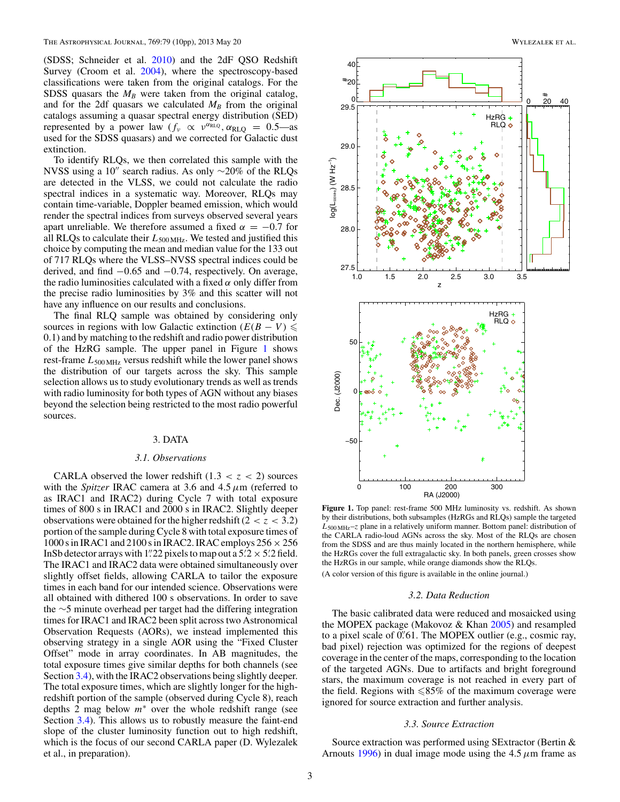<span id="page-2-0"></span>(SDSS; Schneider et al. [2010\)](#page-9-0) and the 2dF QSO Redshift Survey (Croom et al. [2004\)](#page-9-0), where the spectroscopy-based classifications were taken from the original catalogs. For the SDSS quasars the  $M_B$  were taken from the original catalog, and for the 2df quasars we calculated  $M_B$  from the original catalogs assuming a quasar spectral energy distribution (SED) represented by a power law  $(f_v \propto v^{\alpha_{\text{RLQ}}}$ ,  $\alpha_{\text{RLQ}} = 0.5$ —as used for the SDSS quasars) and we corrected for Galactic dust extinction.

To identify RLQs, we then correlated this sample with the NVSS using a 10" search radius. As only  $\sim$ 20% of the RLQs are detected in the VLSS, we could not calculate the radio spectral indices in a systematic way. Moreover, RLQs may contain time-variable, Doppler beamed emission, which would render the spectral indices from surveys observed several years apart unreliable. We therefore assumed a fixed  $\alpha = -0.7$  for all RLQs to calculate their *L*500 MHz. We tested and justified this choice by computing the mean and median value for the 133 out of 717 RLQs where the VLSS–NVSS spectral indices could be derived, and find −0*.*65 and −0*.*74, respectively. On average, the radio luminosities calculated with a fixed *α* only differ from the precise radio luminosities by 3% and this scatter will not have any influence on our results and conclusions.

The final RLQ sample was obtained by considering only sources in regions with low Galactic extinction  $(E(B - V) \leq$ 0*.*1) and by matching to the redshift and radio power distribution of the HzRG sample. The upper panel in Figure 1 shows rest-frame  $L_{500 MHz}$  versus redshift while the lower panel shows the distribution of our targets across the sky. This sample selection allows us to study evolutionary trends as well as trends with radio luminosity for both types of AGN without any biases beyond the selection being restricted to the most radio powerful sources.

## 3. DATA

## *3.1. Observations*

CARLA observed the lower redshift  $(1.3 < z < 2)$  sources with the *Spitzer* IRAC camera at 3.6 and 4.5*μ*m (referred to as IRAC1 and IRAC2) during Cycle 7 with total exposure times of 800 s in IRAC1 and 2000 s in IRAC2. Slightly deeper observations were obtained for the higher redshift  $(2 < z < 3.2)$ portion of the sample during Cycle 8 with total exposure times of 1000 s in IRAC1 and 2100 s in IRAC2. IRAC employs  $256 \times 256$ InSb detector arrays with 1.  $22$  pixels to map out a  $5.2 \times 5.2$  field. The IRAC1 and IRAC2 data were obtained simultaneously over slightly offset fields, allowing CARLA to tailor the exposure times in each band for our intended science. Observations were all obtained with dithered 100 s observations. In order to save the ∼5 minute overhead per target had the differing integration times for IRAC1 and IRAC2 been split across two Astronomical Observation Requests (AORs), we instead implemented this observing strategy in a single AOR using the "Fixed Cluster Offset" mode in array coordinates. In AB magnitudes, the total exposure times give similar depths for both channels (see Section [3.4\)](#page-3-0), with the IRAC2 observations being slightly deeper. The total exposure times, which are slightly longer for the highredshift portion of the sample (observed during Cycle 8), reach depths 2 mag below *m*<sup>∗</sup> over the whole redshift range (see Section [3.4\)](#page-3-0). This allows us to robustly measure the faint-end slope of the cluster luminosity function out to high redshift, which is the focus of our second CARLA paper (D. Wylezalek et al., in preparation).



**Figure 1.** Top panel: rest-frame 500 MHz luminosity vs. redshift. As shown by their distributions, both subsamples (HzRGs and RLQs) sample the targeted *L*500 MHz–*z* plane in a relatively uniform manner. Bottom panel: distribution of the CARLA radio-loud AGNs across the sky. Most of the RLQs are chosen from the SDSS and are thus mainly located in the northern hemisphere, while the HzRGs cover the full extragalactic sky. In both panels, green crosses show the HzRGs in our sample, while orange diamonds show the RLQs.

(A color version of this figure is available in the online journal.)

### *3.2. Data Reduction*

The basic calibrated data were reduced and mosaicked using the MOPEX package (Makovoz  $&$  Khan  $2005$ ) and resampled to a pixel scale of 0*.* 61. The MOPEX outlier (e.g., cosmic ray, bad pixel) rejection was optimized for the regions of deepest coverage in the center of the maps, corresponding to the location of the targeted AGNs. Due to artifacts and bright foreground stars, the maximum coverage is not reached in every part of the field. Regions with  $\le 85\%$  of the maximum coverage were ignored for source extraction and further analysis.

## *3.3. Source Extraction*

Source extraction was performed using SExtractor (Bertin & Arnouts [1996\)](#page-9-0) in dual image mode using the 4.5*μ*m frame as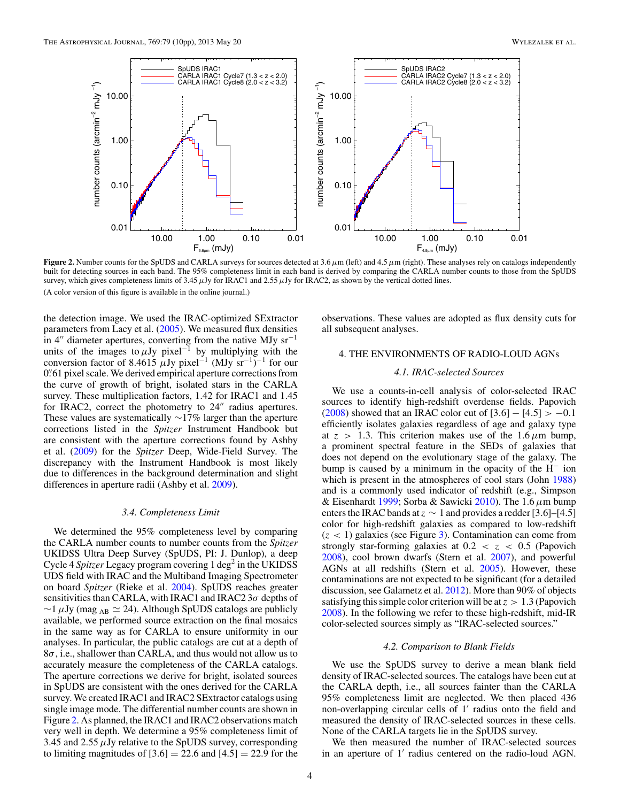<span id="page-3-0"></span>

**Figure 2.** Number counts for the SpUDS and CARLA surveys for sources detected at  $3.6 \mu$ m (left) and  $4.5 \mu$ m (right). These analyses rely on catalogs independently built for detecting sources in each band. The 95% completeness limit in each band is derived by comparing the CARLA number counts to those from the SpUDS survey, which gives completeness limits of 3.45  $\mu$ Jy for IRAC1 and 2.55  $\mu$ Jy for IRAC2, as shown by the vertical dotted lines. (A color version of this figure is available in the online journal.)

the detection image. We used the IRAC-optimized SExtractor parameters from Lacy et al. [\(2005\)](#page-9-0). We measured flux densities in 4" diameter apertures, converting from the native MJy sr<sup>-1</sup> units of the images to  $\mu$ Jy pixel<sup>-1</sup> by multiplying with the conversion factor of 8.4615  $\mu$ Jy pixel<sup>-1</sup> (MJy sr<sup>-1</sup>)<sup>-1</sup> for our 0*.* 61 pixel scale. We derived empirical aperture corrections from the curve of growth of bright, isolated stars in the CARLA survey. These multiplication factors, 1.42 for IRAC1 and 1.45 for IRAC2, correct the photometry to  $24$ <sup>"</sup> radius apertures. These values are systematically ∼17% larger than the aperture corrections listed in the *Spitzer* Instrument Handbook but are consistent with the aperture corrections found by Ashby et al. [\(2009\)](#page-9-0) for the *Spitzer* Deep, Wide-Field Survey. The discrepancy with the Instrument Handbook is most likely due to differences in the background determination and slight differences in aperture radii (Ashby et al. [2009\)](#page-9-0).

#### *3.4. Completeness Limit*

We determined the 95% completeness level by comparing the CARLA number counts to number counts from the *Spitzer* UKIDSS Ultra Deep Survey (SpUDS, PI: J. Dunlop), a deep Cycle 4 *Spitzer* Legacy program covering 1 deg<sup>2</sup> in the UKIDSS UDS field with IRAC and the Multiband Imaging Spectrometer on board *Spitzer* (Rieke et al. [2004\)](#page-9-0). SpUDS reaches greater sensitivities than CARLA, with IRAC1 and IRAC2 3*σ* depths of  $\sim$ 1  $\mu$ Jy (mag <sub>AB</sub>  $\simeq$  24). Although SpUDS catalogs are publicly available, we performed source extraction on the final mosaics in the same way as for CARLA to ensure uniformity in our analyses. In particular, the public catalogs are cut at a depth of 8*σ*, i.e., shallower than CARLA, and thus would not allow us to accurately measure the completeness of the CARLA catalogs. The aperture corrections we derive for bright, isolated sources in SpUDS are consistent with the ones derived for the CARLA survey. We created IRAC1 and IRAC2 SExtractor catalogs using single image mode. The differential number counts are shown in Figure 2. As planned, the IRAC1 and IRAC2 observations match very well in depth. We determine a 95% completeness limit of 3.45 and 2.55*μ*Jy relative to the SpUDS survey, corresponding to limiting magnitudes of  $[3.6] = 22.6$  and  $[4.5] = 22.9$  for the

observations. These values are adopted as flux density cuts for all subsequent analyses.

## 4. THE ENVIRONMENTS OF RADIO-LOUD AGNs

## *4.1. IRAC-selected Sources*

We use a counts-in-cell analysis of color-selected IRAC sources to identify high-redshift overdense fields. Papovich [\(2008\)](#page-9-0) showed that an IRAC color cut of [3*.*6] − [4*.*5] *>* −0*.*1 efficiently isolates galaxies regardless of age and galaxy type at  $z > 1.3$ . This criterion makes use of the  $1.6 \mu m$  bump, a prominent spectral feature in the SEDs of galaxies that does not depend on the evolutionary stage of the galaxy. The bump is caused by a minimum in the opacity of the H<sup>−</sup> ion which is present in the atmospheres of cool stars (John [1988\)](#page-9-0) and is a commonly used indicator of redshift (e.g., Simpson & Eisenhardt [1999;](#page-9-0) Sorba & Sawicki [2010\)](#page-9-0). The 1.6*μ*m bump enters the IRAC bands at  $z \sim 1$  and provides a redder [3.6]–[4.5] color for high-redshift galaxies as compared to low-redshift  $(z < 1)$  galaxies (see Figure [3\)](#page-4-0). Contamination can come from strongly star-forming galaxies at  $0.2 < z < 0.5$  (Papovich [2008\)](#page-9-0), cool brown dwarfs (Stern et al. [2007\)](#page-9-0), and powerful AGNs at all redshifts (Stern et al. [2005\)](#page-9-0). However, these contaminations are not expected to be significant (for a detailed discussion, see Galametz et al. [2012\)](#page-9-0). More than 90% of objects satisfying this simple color criterion will be at *z >* 1*.*3 (Papovich [2008\)](#page-9-0). In the following we refer to these high-redshift, mid-IR color-selected sources simply as "IRAC-selected sources."

#### *4.2. Comparison to Blank Fields*

We use the SpUDS survey to derive a mean blank field density of IRAC-selected sources. The catalogs have been cut at the CARLA depth, i.e., all sources fainter than the CARLA 95% completeness limit are neglected. We then placed 436 non-overlapping circular cells of 1' radius onto the field and measured the density of IRAC-selected sources in these cells. None of the CARLA targets lie in the SpUDS survey.

We then measured the number of IRAC-selected sources in an aperture of 1' radius centered on the radio-loud AGN.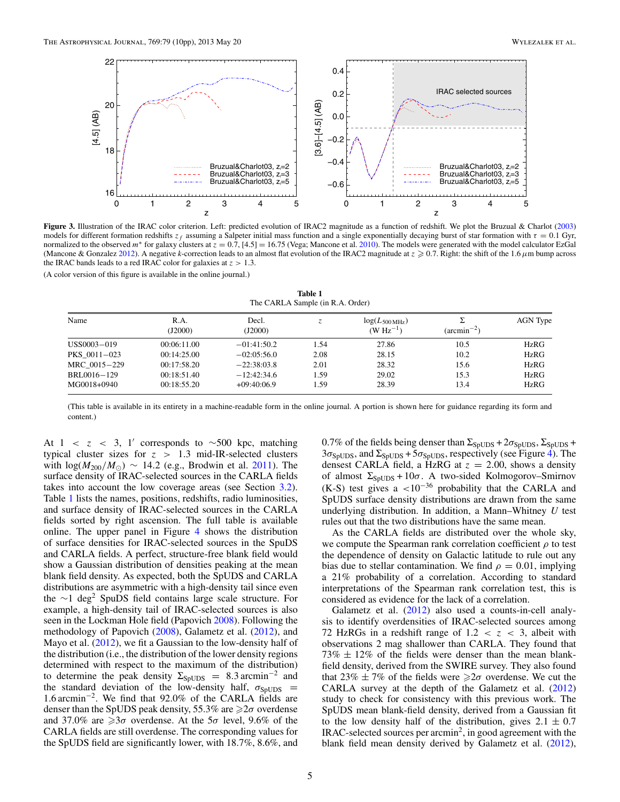<span id="page-4-0"></span>

**Figure 3.** Illustration of the IRAC color criterion. Left: predicted evolution of IRAC2 magnitude as a function of redshift. We plot the Bruzual & Charlot [\(2003\)](#page-9-0) models for different formation redshifts  $z_f$  assuming a Salpeter initial mass function and a single exponentially decaying burst of star formation with  $\tau = 0.1$  Gyr, normalized to the observed *m*<sup>∗</sup> for galaxy clusters at *z* = 0.7, [4.5] = 16.75 (Vega; Mancone et al. [2010\)](#page-9-0). The models were generated with the model calculator EzGal (Mancone & Gonzalez [2012\)](#page-9-0). A negative *k*-correction leads to an almost flat evolution of the IRAC2 magnitude at *z* ≥ 0.7. Right: the shift of the 1.6 *μ*m bump across the IRAC bands leads to a red IRAC color for galaxies at  $z > 1.3$ .

(A color version of this figure is available in the online journal.)

**Table 1** The CARLA Sample (in R.A. Order)

| Name         | R.A.<br>(J2000) | Decl.<br>(J2000) |      | $log(L_{500 \text{ MHz}})$<br>(W $Hz^{-1}$ ) | $(\arcsin^{-2})$ | <b>AGN</b> Type |
|--------------|-----------------|------------------|------|----------------------------------------------|------------------|-----------------|
| USS0003-019  | 00:06:11.00     | $-01:41:50.2$    | 1.54 | 27.86                                        | 10.5             | <b>HzRG</b>     |
| PKS 0011-023 | 00:14:25.00     | $-02:05:56.0$    | 2.08 | 28.15                                        | 10.2             | HzRG            |
| MRC 0015-229 | 00:17:58.20     | $-22:38:03.8$    | 2.01 | 28.32                                        | 15.6             | <b>HzRG</b>     |
| BRL0016-129  | 00:18:51.40     | $-12:42:34.6$    | 1.59 | 29.02                                        | 15.3             | <b>HzRG</b>     |
| MG0018+0940  | 00:18:55.20     | $+09:40:06.9$    | 1.59 | 28.39                                        | 13.4             | <b>HzRG</b>     |

(This table is available in its entirety in a machine-readable form in the online journal. A portion is shown here for guidance regarding its form and content.)

At  $1 < z < 3$ , 1' corresponds to ~500 kpc, matching typical cluster sizes for  $z > 1.3$  mid-IR-selected clusters with  $log(M_{200}/M_{\odot})$  ∼ 14.2 (e.g., Brodwin et al. [2011\)](#page-9-0). The surface density of IRAC-selected sources in the CARLA fields takes into account the low coverage areas (see Section [3.2\)](#page-2-0). Table 1 lists the names, positions, redshifts, radio luminosities, and surface density of IRAC-selected sources in the CARLA fields sorted by right ascension. The full table is available online. The upper panel in Figure [4](#page-5-0) shows the distribution of surface densities for IRAC-selected sources in the SpuDS and CARLA fields. A perfect, structure-free blank field would show a Gaussian distribution of densities peaking at the mean blank field density. As expected, both the SpUDS and CARLA distributions are asymmetric with a high-density tail since even the  $\sim$ 1 deg<sup>2</sup> SpuDS field contains large scale structure. For example, a high-density tail of IRAC-selected sources is also seen in the Lockman Hole field (Papovich [2008\)](#page-9-0). Following the methodology of Papovich [\(2008\)](#page-9-0), Galametz et al. [\(2012\)](#page-9-0), and Mayo et al.  $(2012)$ , we fit a Gaussian to the low-density half of the distribution (i.e., the distribution of the lower density regions determined with respect to the maximum of the distribution) to determine the peak density  $\Sigma_{\text{SplUDS}} = 8.3 \text{ arcmin}^{-2}$  and the standard deviation of the low-density half,  $\sigma_{SpUDS}$  = 1.6 arcmin−2. We find that 92.0% of the CARLA fields are denser than the SpUDS peak density, 55.3% are ≥2σ overdense and 37.0% are  $\geq 3\sigma$  overdense. At the 5 $\sigma$  level, 9.6% of the CARLA fields are still overdense. The corresponding values for the SpUDS field are significantly lower, with 18.7%, 8.6%, and

0.7% of the fields being denser than  $\Sigma_{\text{SpUDS}} + 2\sigma_{\text{SpUDS}}$ ,  $\Sigma_{\text{SpUDS}} +$  $3\sigma_{SpUDS}$ , and  $\Sigma_{SpUDS} + 5\sigma_{SpUDS}$ , respectively (see Figure [4\)](#page-5-0). The densest CARLA field, a HzRG at  $z = 2.00$ , shows a density of almost  $\Sigma_{\text{SpUDS}} + 10\sigma$ . A two-sided Kolmogorov–Smirnov (K-S) test gives a *<*10−<sup>36</sup> probability that the CARLA and SpUDS surface density distributions are drawn from the same underlying distribution. In addition, a Mann–Whitney *U* test rules out that the two distributions have the same mean.

As the CARLA fields are distributed over the whole sky, we compute the Spearman rank correlation coefficient *ρ* to test the dependence of density on Galactic latitude to rule out any bias due to stellar contamination. We find  $\rho = 0.01$ , implying a 21% probability of a correlation. According to standard interpretations of the Spearman rank correlation test, this is considered as evidence for the lack of a correlation.

Galametz et al. [\(2012\)](#page-9-0) also used a counts-in-cell analysis to identify overdensities of IRAC-selected sources among 72 HzRGs in a redshift range of  $1.2 < z < 3$ , albeit with observations 2 mag shallower than CARLA. They found that  $73\% \pm 12\%$  of the fields were denser than the mean blankfield density, derived from the SWIRE survey. They also found that 23%  $\pm$  7% of the fields were  $\geq 2\sigma$  overdense. We cut the CARLA survey at the depth of the Galametz et al. [\(2012\)](#page-9-0) study to check for consistency with this previous work. The SpUDS mean blank-field density, derived from a Gaussian fit to the low density half of the distribution, gives  $2.1 \pm 0.7$  $IRAC$ -selected sources per arcmin<sup>2</sup>, in good agreement with the blank field mean density derived by Galametz et al. [\(2012\)](#page-9-0),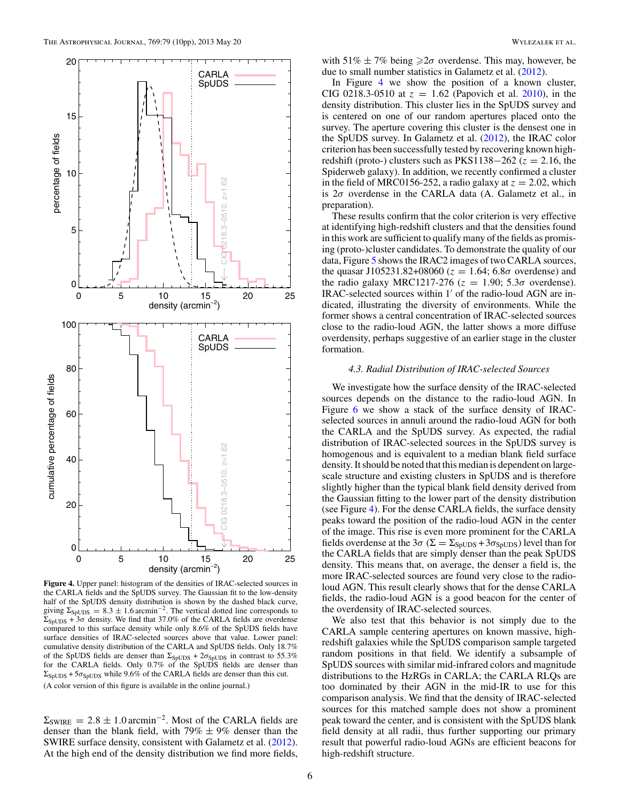CARLA SpUDS

> 89.  $\overline{z}$

10

percentage of fields

percentage of fields

15

<span id="page-5-0"></span>20



is centered on one of our random apertures placed onto the survey. The aperture covering this cluster is the densest one in the SpUDS survey. In Galametz et al. [\(2012\)](#page-9-0), the IRAC color criterion has been successfully tested by recovering known highredshift (proto-) clusters such as PKS1138 $-262$  ( $z = 2.16$ , the Spiderweb galaxy). In addition, we recently confirmed a cluster in the field of MRC0156-252, a radio galaxy at  $z = 2.02$ , which is 2*σ* overdense in the CARLA data (A. Galametz et al., in preparation).

These results confirm that the color criterion is very effective at identifying high-redshift clusters and that the densities found in this work are sufficient to qualify many of the fields as promising (proto-)cluster candidates. To demonstrate the quality of our data, Figure [5](#page-6-0) shows the IRAC2 images of two CARLA sources, the quasar J105231.82+08060 ( $z = 1.64$ ; 6.8 $\sigma$  overdense) and the radio galaxy MRC1217-276 ( $z = 1.90$ ; 5.3 $\sigma$  overdense). IRAC-selected sources within 1' of the radio-loud AGN are indicated, illustrating the diversity of environments. While the former shows a central concentration of IRAC-selected sources close to the radio-loud AGN, the latter shows a more diffuse overdensity, perhaps suggestive of an earlier stage in the cluster formation.

### *4.3. Radial Distribution of IRAC-selected Sources*

We investigate how the surface density of the IRAC-selected sources depends on the distance to the radio-loud AGN. In Figure [6](#page-6-0) we show a stack of the surface density of IRACselected sources in annuli around the radio-loud AGN for both the CARLA and the SpUDS survey. As expected, the radial distribution of IRAC-selected sources in the SpUDS survey is homogenous and is equivalent to a median blank field surface density. It should be noted that this median is dependent on largescale structure and existing clusters in SpUDS and is therefore slightly higher than the typical blank field density derived from the Gaussian fitting to the lower part of the density distribution (see Figure 4). For the dense CARLA fields, the surface density peaks toward the position of the radio-loud AGN in the center of the image. This rise is even more prominent for the CARLA fields overdense at the 3 $\sigma$  ( $\Sigma = \Sigma_{\text{SpUDS}} + 3\sigma_{\text{SpUDS}}$ ) level than for the CARLA fields that are simply denser than the peak SpUDS density. This means that, on average, the denser a field is, the more IRAC-selected sources are found very close to the radioloud AGN. This result clearly shows that for the dense CARLA fields, the radio-loud AGN is a good beacon for the center of the overdensity of IRAC-selected sources.

We also test that this behavior is not simply due to the CARLA sample centering apertures on known massive, highredshift galaxies while the SpUDS comparison sample targeted random positions in that field. We identify a subsample of SpUDS sources with similar mid-infrared colors and magnitude distributions to the HzRGs in CARLA; the CARLA RLQs are too dominated by their AGN in the mid-IR to use for this comparison analysis. We find that the density of IRAC-selected sources for this matched sample does not show a prominent peak toward the center, and is consistent with the SpUDS blank field density at all radii, thus further supporting our primary result that powerful radio-loud AGNs are efficient beacons for high-redshift structure.



**Figure 4.** Upper panel: histogram of the densities of IRAC-selected sources in the CARLA fields and the SpUDS survey. The Gaussian fit to the low-density half of the SpUDS density distribution is shown by the dashed black curve, giving  $\Sigma_{\text{SpUDS}} = 8.3 \pm 1.6 \,\text{arcmin}^{-2}$ . The vertical dotted line corresponds to  $\Sigma_{SpUDS}$  + 3 $\sigma$  density. We find that 37.0% of the CARLA fields are overdense compared to this surface density while only 8.6% of the SpUDS fields have surface densities of IRAC-selected sources above that value. Lower panel: cumulative density distribution of the CARLA and SpUDS fields. Only 18.7% of the SpUDS fields are denser than  $\Sigma_{\text{SpUDS}} + 2\sigma_{\text{SpUDS}}$  in contrast to 55.3% for the CARLA fields. Only 0.7% of the SpUDS fields are denser than  $\Sigma_{\text{SpUDS}} + 5\sigma_{\text{SpUDS}}$  while 9.6% of the CARLA fields are denser than this cut. (A color version of this figure is available in the online journal.)

 $\Sigma_{\text{SWIRE}} = 2.8 \pm 1.0 \,\text{arcmin}^{-2}$ . Most of the CARLA fields are denser than the blank field, with  $79\% \pm 9\%$  denser than the SWIRE surface density, consistent with Galametz et al. [\(2012\)](#page-9-0). At the high end of the density distribution we find more fields,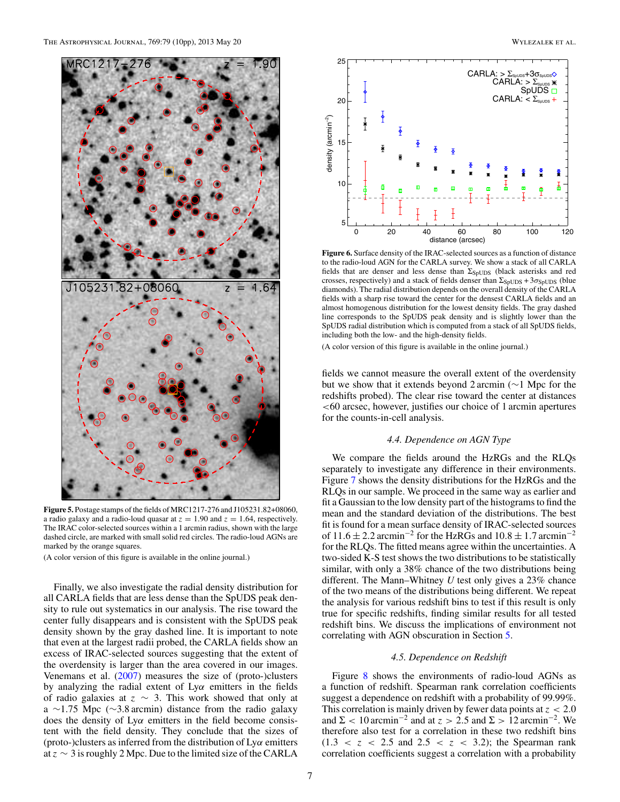<span id="page-6-0"></span>

**Figure 5.** Postage stamps of the fields of MRC1217-276 and J105231.82+08060, a radio galaxy and a radio-loud quasar at  $z = 1.90$  and  $z = 1.64$ , respectively. The IRAC color-selected sources within a 1 arcmin radius, shown with the large dashed circle, are marked with small solid red circles. The radio-loud AGNs are marked by the orange squares.

(A color version of this figure is available in the online journal.)

Finally, we also investigate the radial density distribution for all CARLA fields that are less dense than the SpUDS peak density to rule out systematics in our analysis. The rise toward the center fully disappears and is consistent with the SpUDS peak density shown by the gray dashed line. It is important to note that even at the largest radii probed, the CARLA fields show an excess of IRAC-selected sources suggesting that the extent of the overdensity is larger than the area covered in our images. Venemans et al. [\(2007\)](#page-9-0) measures the size of (proto-)clusters by analyzing the radial extent of Ly*α* emitters in the fields of radio galaxies at *z* ∼ 3. This work showed that only at a ∼1.75 Mpc (∼3.8 arcmin) distance from the radio galaxy does the density of Ly*α* emitters in the field become consistent with the field density. They conclude that the sizes of (proto-)clusters as inferred from the distribution of Ly*α* emitters at *z* ∼ 3 is roughly 2 Mpc. Due to the limited size of the CARLA



**Figure 6.** Surface density of the IRAC-selected sources as a function of distance to the radio-loud AGN for the CARLA survey. We show a stack of all CARLA fields that are denser and less dense than  $\Sigma_{\text{SpUDS}}$  (black asterisks and red crosses, respectively) and a stack of fields denser than  $\Sigma_{SpUDS} + 3\sigma_{SpUDS}$  (blue diamonds). The radial distribution depends on the overall density of the CARLA fields with a sharp rise toward the center for the densest CARLA fields and an almost homogenous distribution for the lowest density fields. The gray dashed line corresponds to the SpUDS peak density and is slightly lower than the SpUDS radial distribution which is computed from a stack of all SpUDS fields, including both the low- and the high-density fields.

(A color version of this figure is available in the online journal.)

fields we cannot measure the overall extent of the overdensity but we show that it extends beyond 2 arcmin (∼1 Mpc for the redshifts probed). The clear rise toward the center at distances *<*60 arcsec, however, justifies our choice of 1 arcmin apertures for the counts-in-cell analysis.

## *4.4. Dependence on AGN Type*

We compare the fields around the HzRGs and the RLQs separately to investigate any difference in their environments. Figure [7](#page-7-0) shows the density distributions for the HzRGs and the RLQs in our sample. We proceed in the same way as earlier and fit a Gaussian to the low density part of the histograms to find the mean and the standard deviation of the distributions. The best fit is found for a mean surface density of IRAC-selected sources of  $11.6 \pm 2.2$  arcmin<sup>-2</sup> for the HzRGs and  $10.8 \pm 1.7$  arcmin<sup>-2</sup> for the RLQs. The fitted means agree within the uncertainties. A two-sided K-S test shows the two distributions to be statistically similar, with only a 38% chance of the two distributions being different. The Mann–Whitney *U* test only gives a 23% chance of the two means of the distributions being different. We repeat the analysis for various redshift bins to test if this result is only true for specific redshifts, finding similar results for all tested redshift bins. We discuss the implications of environment not correlating with AGN obscuration in Section [5.](#page-8-0)

## *4.5. Dependence on Redshift*

Figure [8](#page-7-0) shows the environments of radio-loud AGNs as a function of redshift. Spearman rank correlation coefficients suggest a dependence on redshift with a probability of 99.99%. This correlation is mainly driven by fewer data points at *z <* 2*.*0 and  $\Sigma$  < 10 arcmin<sup>-2</sup> and at  $z > 2.5$  and  $\Sigma > 12$  arcmin<sup>-2</sup>. We therefore also test for a correlation in these two redshift bins  $(1.3 < z < 2.5$  and  $2.5 < z < 3.2$ ); the Spearman rank correlation coefficients suggest a correlation with a probability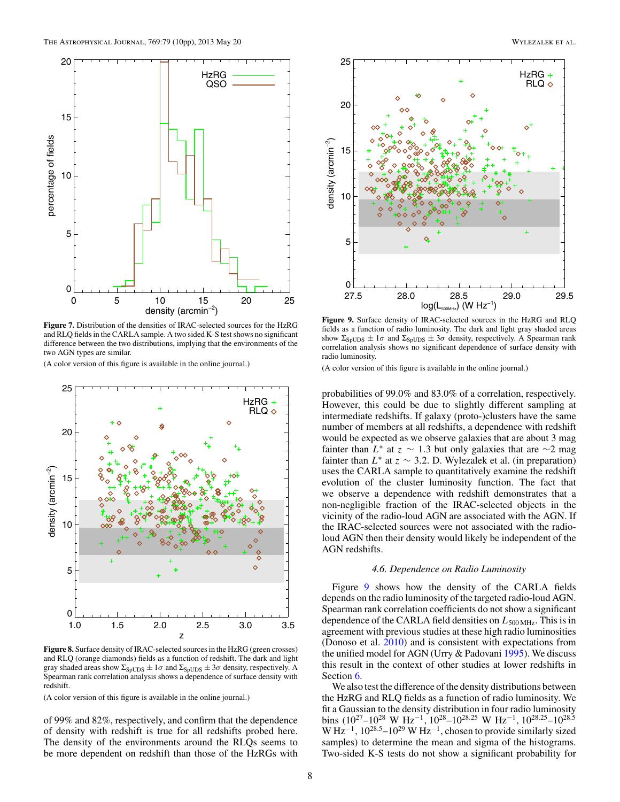<span id="page-7-0"></span>

**Figure 7.** Distribution of the densities of IRAC-selected sources for the HzRG and RLQ fields in the CARLA sample. A two sided K-S test shows no significant difference between the two distributions, implying that the environments of the two AGN types are similar.

(A color version of this figure is available in the online journal.)



**Figure 8.** Surface density of IRAC-selected sources in the HzRG (green crosses) and RLQ (orange diamonds) fields as a function of redshift. The dark and light gray shaded areas show  $\Sigma_{\text{SpUDS}} \pm 1\sigma$  and  $\Sigma_{\text{SpUDS}} \pm 3\sigma$  density, respectively. A Spearman rank correlation analysis shows a dependence of surface density with redshift.

(A color version of this figure is available in the online journal.)

of 99% and 82%, respectively, and confirm that the dependence of density with redshift is true for all redshifts probed here. The density of the environments around the RLQs seems to be more dependent on redshift than those of the HzRGs with



**Figure 9.** Surface density of IRAC-selected sources in the HzRG and RLQ fields as a function of radio luminosity. The dark and light gray shaded areas show  $\Sigma_{SpUDS} \pm 1\sigma$  and  $\Sigma_{SpUDS} \pm 3\sigma$  density, respectively. A Spearman rank correlation analysis shows no significant dependence of surface density with radio luminosity.

(A color version of this figure is available in the online journal.)

probabilities of 99.0% and 83.0% of a correlation, respectively. However, this could be due to slightly different sampling at intermediate redshifts. If galaxy (proto-)clusters have the same number of members at all redshifts, a dependence with redshift would be expected as we observe galaxies that are about 3 mag fainter than  $L^*$  at  $z \sim 1.3$  but only galaxies that are  $\sim$ 2 mag fainter than  $L^*$  at  $z \sim 3.2$ . D. Wylezalek et al. (in preparation) uses the CARLA sample to quantitatively examine the redshift evolution of the cluster luminosity function. The fact that we observe a dependence with redshift demonstrates that a non-negligible fraction of the IRAC-selected objects in the vicinity of the radio-loud AGN are associated with the AGN. If the IRAC-selected sources were not associated with the radioloud AGN then their density would likely be independent of the AGN redshifts.

## *4.6. Dependence on Radio Luminosity*

Figure 9 shows how the density of the CARLA fields depends on the radio luminosity of the targeted radio-loud AGN. Spearman rank correlation coefficients do not show a significant dependence of the CARLA field densities on  $L_{500 \text{ MHz}}$ . This is in agreement with previous studies at these high radio luminosities (Donoso et al. [2010\)](#page-9-0) and is consistent with expectations from the unified model for AGN (Urry & Padovani [1995\)](#page-9-0). We discuss this result in the context of other studies at lower redshifts in Section [6.](#page-8-0)

We also test the difference of the density distributions between the HzRG and RLQ fields as a function of radio luminosity. We fit a Gaussian to the density distribution in four radio luminosity bins (1027–1028 W Hz−<sup>1</sup>*,* 1028–1028*.*<sup>25</sup> W Hz−<sup>1</sup>*,* 1028*.*25–1028*.*<sup>5</sup> W Hz−<sup>1</sup>*,* 1028*.*5–1029 W Hz−1, chosen to provide similarly sized samples) to determine the mean and sigma of the histograms. Two-sided K-S tests do not show a significant probability for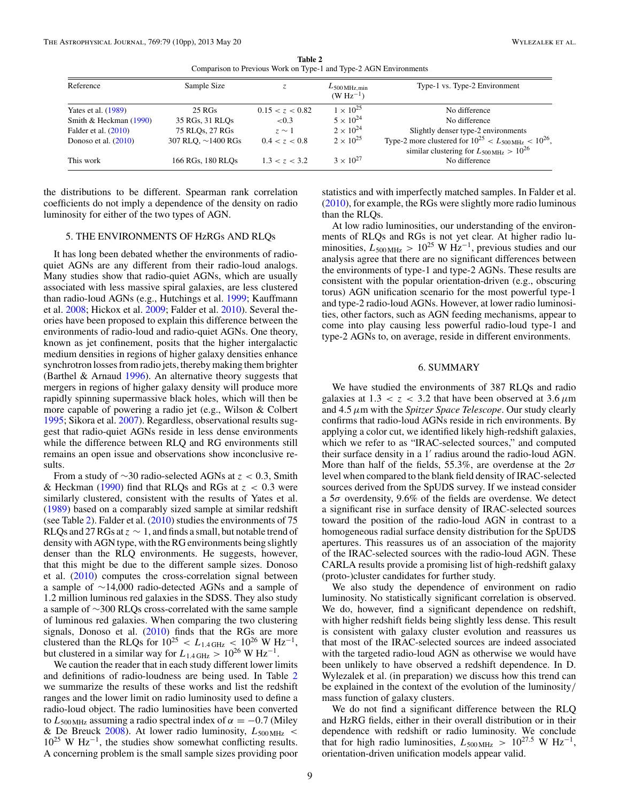**Table 2** Comparison to Previous Work on Type-1 and Type-2 AGN Environments

<span id="page-8-0"></span>

| Reference              | Sample Size              |                 | $L_{500\,\text{MHz,min}}$<br>$(W Hz^{-1})$ | Type-1 vs. Type-2 Environment                                                                                                   |
|------------------------|--------------------------|-----------------|--------------------------------------------|---------------------------------------------------------------------------------------------------------------------------------|
| Yates et al. $(1989)$  | 25 RGs                   | 0.15 < z < 0.82 | $1 \times 10^{25}$                         | No difference                                                                                                                   |
| Smith & Heckman (1990) | 35 RGs, 31 RLOs          | ${<}0.3$        | $5 \times 10^{24}$                         | No difference                                                                                                                   |
| Falder et al. $(2010)$ | 75 RLQs, 27 RGs          | $z \sim 1$      | $2 \times 10^{24}$                         | Slightly denser type-2 environments                                                                                             |
| Donoso et al. $(2010)$ | 307 RLO, $\sim$ 1400 RGs | 0.4 < z < 0.8   | $2 \times 10^{25}$                         | Type-2 more clustered for $10^{25} < L_{500 \text{ MHz}} < 10^{26}$ ,<br>similar clustering for $L_{500 \text{ MHz}} > 10^{26}$ |
| This work              | 166 RGs, 180 RLOs        | 1.3 < z < 3.2   | $3 \times 10^{27}$                         | No difference                                                                                                                   |

the distributions to be different. Spearman rank correlation coefficients do not imply a dependence of the density on radio luminosity for either of the two types of AGN.

## 5. THE ENVIRONMENTS OF HzRGs AND RLQs

It has long been debated whether the environments of radioquiet AGNs are any different from their radio-loud analogs. Many studies show that radio-quiet AGNs, which are usually associated with less massive spiral galaxies, are less clustered than radio-loud AGNs (e.g., Hutchings et al. [1999;](#page-9-0) Kauffmann et al. [2008;](#page-9-0) Hickox et al. [2009;](#page-9-0) Falder et al. [2010\)](#page-9-0). Several theories have been proposed to explain this difference between the environments of radio-loud and radio-quiet AGNs. One theory, known as jet confinement, posits that the higher intergalactic medium densities in regions of higher galaxy densities enhance synchrotron losses from radio jets, thereby making them brighter (Barthel & Arnaud [1996\)](#page-9-0). An alternative theory suggests that mergers in regions of higher galaxy density will produce more rapidly spinning supermassive black holes, which will then be more capable of powering a radio jet (e.g., Wilson & Colbert [1995;](#page-9-0) Sikora et al. [2007\)](#page-9-0). Regardless, observational results suggest that radio-quiet AGNs reside in less dense environments while the difference between RLQ and RG environments still remains an open issue and observations show inconclusive results.

From a study of ∼30 radio-selected AGNs at *z <* 0*.*3, Smith & Heckman [\(1990\)](#page-9-0) find that RLQs and RGs at *z <* 0*.*3 were similarly clustered, consistent with the results of Yates et al. [\(1989\)](#page-9-0) based on a comparably sized sample at similar redshift (see Table 2). Falder et al.  $(2010)$  studies the environments of 75 RLQs and 27 RGs at  $z \sim 1$ , and finds a small, but notable trend of density with AGN type, with the RG environments being slightly denser than the RLQ environments. He suggests, however, that this might be due to the different sample sizes. Donoso et al. [\(2010\)](#page-9-0) computes the cross-correlation signal between a sample of ∼14,000 radio-detected AGNs and a sample of 1.2 million luminous red galaxies in the SDSS. They also study a sample of ∼300 RLQs cross-correlated with the same sample of luminous red galaxies. When comparing the two clustering signals, Donoso et al. [\(2010\)](#page-9-0) finds that the RGs are more clustered than the RLQs for  $10^{25} < L_{1.4 \text{ GHz}} < 10^{26} \text{ W Hz}^{-1}$ , but clustered in a similar way for  $L_{1.4 \text{ GHz}} > 10^{26} \text{ W Hz}^{-1}$ .

We caution the reader that in each study different lower limits and definitions of radio-loudness are being used. In Table 2 we summarize the results of these works and list the redshift ranges and the lower limit on radio luminosity used to define a radio-loud object. The radio luminosities have been converted to  $L_{500 \text{ MHz}}$  assuming a radio spectral index of  $\alpha = -0.7$  (Miley & De Breuck [2008\)](#page-9-0). At lower radio luminosity, *L*500 MHz *<*  $10^{25}$  W Hz<sup>-1</sup>, the studies show somewhat conflicting results. A concerning problem is the small sample sizes providing poor statistics and with imperfectly matched samples. In Falder et al. [\(2010\)](#page-9-0), for example, the RGs were slightly more radio luminous than the RLQs.

At low radio luminosities, our understanding of the environments of RLQs and RGs is not yet clear. At higher radio luminosities,  $L_{500 \text{ MHz}} > 10^{25} \text{ W Hz}^{-1}$ , previous studies and our analysis agree that there are no significant differences between the environments of type-1 and type-2 AGNs. These results are consistent with the popular orientation-driven (e.g., obscuring torus) AGN unification scenario for the most powerful type-1 and type-2 radio-loud AGNs. However, at lower radio luminosities, other factors, such as AGN feeding mechanisms, appear to come into play causing less powerful radio-loud type-1 and type-2 AGNs to, on average, reside in different environments.

## 6. SUMMARY

We have studied the environments of 387 RLQs and radio galaxies at  $1.3 < z < 3.2$  that have been observed at  $3.6 \,\mu\text{m}$ and 4*.*5*μ*m with the *Spitzer Space Telescope*. Our study clearly confirms that radio-loud AGNs reside in rich environments. By applying a color cut, we identified likely high-redshift galaxies, which we refer to as "IRAC-selected sources," and computed their surface density in a 1' radius around the radio-loud AGN. More than half of the fields, 55.3%, are overdense at the 2*σ* level when compared to the blank field density of IRAC-selected sources derived from the SpUDS survey. If we instead consider a 5*σ* overdensity, 9.6% of the fields are overdense. We detect a significant rise in surface density of IRAC-selected sources toward the position of the radio-loud AGN in contrast to a homogeneous radial surface density distribution for the SpUDS apertures. This reassures us of an association of the majority of the IRAC-selected sources with the radio-loud AGN. These CARLA results provide a promising list of high-redshift galaxy (proto-)cluster candidates for further study.

We also study the dependence of environment on radio luminosity. No statistically significant correlation is observed. We do, however, find a significant dependence on redshift, with higher redshift fields being slightly less dense. This result is consistent with galaxy cluster evolution and reassures us that most of the IRAC-selected sources are indeed associated with the targeted radio-loud AGN as otherwise we would have been unlikely to have observed a redshift dependence. In D. Wylezalek et al. (in preparation) we discuss how this trend can be explained in the context of the evolution of the luminosity*/* mass function of galaxy clusters.

We do not find a significant difference between the RLQ and HzRG fields, either in their overall distribution or in their dependence with redshift or radio luminosity. We conclude that for high radio luminosities,  $L_{500 \text{ MHz}} > 10^{27.5} \text{ W Hz}^{-1}$ , orientation-driven unification models appear valid.